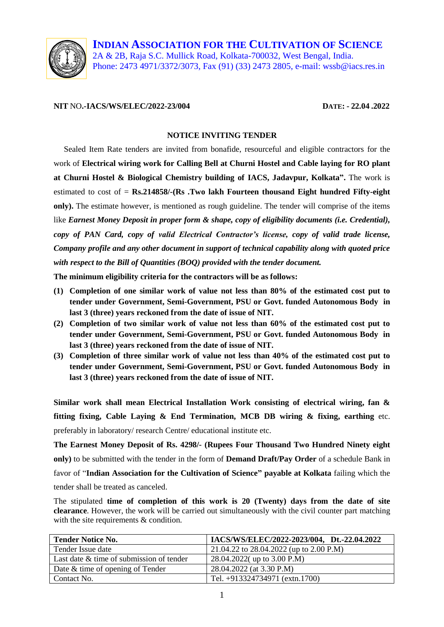

**INDIAN ASSOCIATION FOR THE CULTIVATION OF SCIENCE** 2A & 2B, Raja S.C. Mullick Road, Kolkata-700032, West Bengal, India. Phone: 2473 4971/3372/3073, Fax (91) (33) 2473 2805, e-mail: wssb@iacs.res.in

#### **NIT** NO**.-IACS/WS/ELEC/2022-23/004 DATE: - 22.04 .2022**

#### **NOTICE INVITING TENDER**

 Sealed Item Rate tenders are invited from bonafide, resourceful and eligible contractors for the work of **Electrical wiring work for Calling Bell at Churni Hostel and Cable laying for RO plant at Churni Hostel & Biological Chemistry building of IACS, Jadavpur, Kolkata".** The work is estimated to cost of = **Rs.214858/-(Rs .Two lakh Fourteen thousand Eight hundred Fifty-eight only).** The estimate however, is mentioned as rough guideline. The tender will comprise of the items like *Earnest Money Deposit in proper form & shape, copy of eligibility documents (i.e. Credential), copy of PAN Card, copy of valid Electrical Contractor's license, copy of valid trade license, Company profile and any other document in support of technical capability along with quoted price with respect to the Bill of Quantities (BOQ) provided with the tender document.* 

**The minimum eligibility criteria for the contractors will be as follows:**

- **(1) Completion of one similar work of value not less than 80% of the estimated cost put to tender under Government, Semi-Government, PSU or Govt. funded Autonomous Body in last 3 (three) years reckoned from the date of issue of NIT.**
- **(2) Completion of two similar work of value not less than 60% of the estimated cost put to tender under Government, Semi-Government, PSU or Govt. funded Autonomous Body in last 3 (three) years reckoned from the date of issue of NIT.**
- **(3) Completion of three similar work of value not less than 40% of the estimated cost put to tender under Government, Semi-Government, PSU or Govt. funded Autonomous Body in last 3 (three) years reckoned from the date of issue of NIT.**

**Similar work shall mean Electrical Installation Work consisting of electrical wiring, fan & fitting fixing, Cable Laying & End Termination, MCB DB wiring & fixing, earthing** etc. preferably in laboratory/ research Centre/ educational institute etc.

**The Earnest Money Deposit of Rs. 4298/- (Rupees Four Thousand Two Hundred Ninety eight only)** to be submitted with the tender in the form of **Demand Draft/Pay Order** of a schedule Bank in favor of "**Indian Association for the Cultivation of Science" payable at Kolkata** failing which the tender shall be treated as canceled.

The stipulated **time of completion of this work is 20 (Twenty) days from the date of site clearance**. However, the work will be carried out simultaneously with the civil counter part matching with the site requirements & condition.

| <b>Tender Notice No.</b>                 | IACS/WS/ELEC/2022-2023/004, Dt.-22.04.2022 |
|------------------------------------------|--------------------------------------------|
| Tender Issue date                        | 21.04.22 to 28.04.2022 (up to 2.00 P.M)    |
| Last date & time of submission of tender | 28.04.2022( up to 3.00 P.M)                |
| Date & time of opening of Tender         | 28.04.2022 (at 3.30 P.M)                   |
| Contact No.                              | Tel. +913324734971 (extn.1700)             |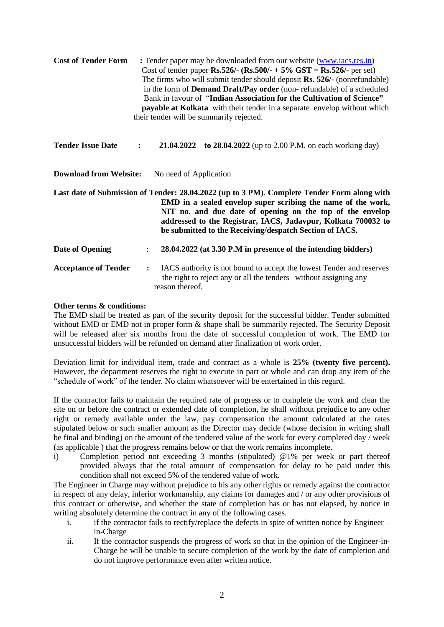| <b>Cost of Tender Form</b>                              | : Tender paper may be downloaded from our website (www.iacs.res.in)<br>Cost of tender paper Rs.526/- (Rs.500/- + 5% GST = Rs.526/- per set)<br>The firms who will submit tender should deposit Rs. 526/- (nonrefundable)<br>in the form of <b>Demand Draft/Pay order</b> (non-refundable) of a scheduled<br>Bank in favour of "Indian Association for the Cultivation of Science"<br>payable at Kolkata with their tender in a separate envelop without which<br>their tender will be summarily rejected. |  |  |  |
|---------------------------------------------------------|-----------------------------------------------------------------------------------------------------------------------------------------------------------------------------------------------------------------------------------------------------------------------------------------------------------------------------------------------------------------------------------------------------------------------------------------------------------------------------------------------------------|--|--|--|
| <b>Tender Issue Date</b>                                | <b>21.04.2022</b> to <b>28.04.2022</b> (up to 2.00 P.M. on each working day)<br>$\ddot{\cdot}$                                                                                                                                                                                                                                                                                                                                                                                                            |  |  |  |
| <b>Download from Website:</b><br>No need of Application |                                                                                                                                                                                                                                                                                                                                                                                                                                                                                                           |  |  |  |
|                                                         | Last date of Submission of Tender: 28.04.2022 (up to 3 PM). Complete Tender Form along with<br>EMD in a sealed envelop super scribing the name of the work,<br>NIT no. and due date of opening on the top of the envelop<br>addressed to the Registrar, IACS, Jadavpur, Kolkata 700032 to<br>be submitted to the Receiving/despatch Section of IACS.                                                                                                                                                      |  |  |  |
| Date of Opening                                         | 28.04.2022 (at 3.30 P.M in presence of the intending bidders)<br>$\ddot{\phantom{0}}$                                                                                                                                                                                                                                                                                                                                                                                                                     |  |  |  |
| <b>Acceptance of Tender</b>                             | IACS authority is not bound to accept the lowest Tender and reserves<br>$\ddot{\cdot}$<br>the right to reject any or all the tenders without assigning any<br>reason thereof.                                                                                                                                                                                                                                                                                                                             |  |  |  |

#### **Other terms & conditions:**

The EMD shall be treated as part of the security deposit for the successful bidder. Tender submitted without EMD or EMD not in proper form  $\&$  shape shall be summarily rejected. The Security Deposit will be released after six months from the date of successful completion of work. The EMD for unsuccessful bidders will be refunded on demand after finalization of work order.

Deviation limit for individual item, trade and contract as a whole is **25% (twenty five percent).** However, the department reserves the right to execute in part or whole and can drop any item of the "schedule of work" of the tender. No claim whatsoever will be entertained in this regard.

If the contractor fails to maintain the required rate of progress or to complete the work and clear the site on or before the contract or extended date of completion, he shall without prejudice to any other right or remedy available under the law, pay compensation the amount calculated at the rates stipulated below or such smaller amount as the Director may decide (whose decision in writing shall be final and binding) on the amount of the tendered value of the work for every completed day / week (as applicable ) that the progress remains below or that the work remains incomplete.

i) Completion period not exceeding 3 months (stipulated) @1% per week or part thereof provided always that the total amount of compensation for delay to be paid under this condition shall not exceed 5% of the tendered value of work.

The Engineer in Charge may without prejudice to his any other rights or remedy against the contractor in respect of any delay, inferior workmanship, any claims for damages and / or any other provisions of this contract or otherwise, and whether the state of completion has or has not elapsed, by notice in writing absolutely determine the contract in any of the following cases.

- i. if the contractor fails to rectify/replace the defects in spite of written notice by Engineer in-Charge
- ii. If the contractor suspends the progress of work so that in the opinion of the Engineer-in-Charge he will be unable to secure completion of the work by the date of completion and do not improve performance even after written notice.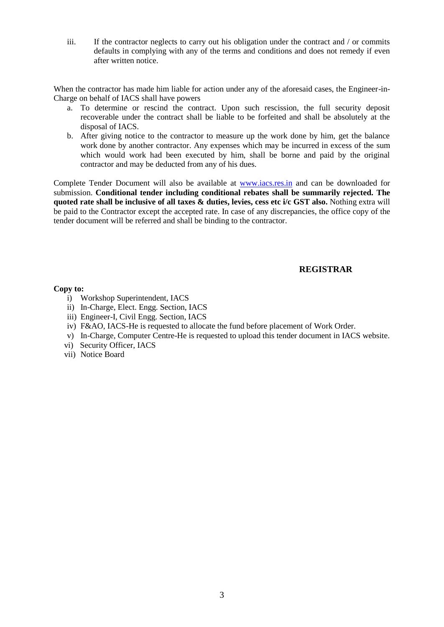iii. If the contractor neglects to carry out his obligation under the contract and / or commits defaults in complying with any of the terms and conditions and does not remedy if even after written notice.

When the contractor has made him liable for action under any of the aforesaid cases, the Engineer-in-Charge on behalf of IACS shall have powers

- a. To determine or rescind the contract. Upon such rescission, the full security deposit recoverable under the contract shall be liable to be forfeited and shall be absolutely at the disposal of IACS.
- b. After giving notice to the contractor to measure up the work done by him, get the balance work done by another contractor. Any expenses which may be incurred in excess of the sum which would work had been executed by him, shall be borne and paid by the original contractor and may be deducted from any of his dues.

Complete Tender Document will also be available at [www.iacs.res.in](http://www.iacs.res.in/) and can be downloaded for submission. **Conditional tender including conditional rebates shall be summarily rejected. The quoted rate shall be inclusive of all taxes & duties, levies, cess etc i/c GST also.** Nothing extra will be paid to the Contractor except the accepted rate. In case of any discrepancies, the office copy of the tender document will be referred and shall be binding to the contractor.

#### **REGISTRAR**

#### **Copy to:**

- i) Workshop Superintendent, IACS
- ii) In-Charge, Elect. Engg. Section, IACS
- iii) Engineer-I, Civil Engg. Section, IACS
- iv) F&AO, IACS-He is requested to allocate the fund before placement of Work Order.
- v) In-Charge, Computer Centre-He is requested to upload this tender document in IACS website.
- vi) Security Officer, IACS
- vii) Notice Board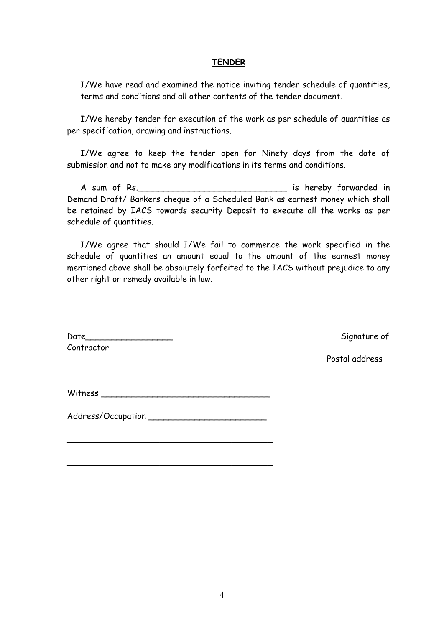#### **TENDER**

I/We have read and examined the notice inviting tender schedule of quantities, terms and conditions and all other contents of the tender document.

I/We hereby tender for execution of the work as per schedule of quantities as per specification, drawing and instructions.

I/We agree to keep the tender open for Ninety days from the date of submission and not to make any modifications in its terms and conditions.

A sum of Rs.\_\_\_\_\_\_\_\_\_\_\_\_\_\_\_\_\_\_\_\_\_\_\_\_\_\_\_\_\_ is hereby forwarded in Demand Draft/ Bankers cheque of a Scheduled Bank as earnest money which shall be retained by IACS towards security Deposit to execute all the works as per schedule of quantities.

I/We agree that should I/We fail to commence the work specified in the schedule of quantities an amount equal to the amount of the earnest money mentioned above shall be absolutely forfeited to the IACS without prejudice to any other right or remedy available in law.

Date\_\_\_\_\_\_\_\_\_\_\_\_\_\_\_\_\_ Signature of Contractor

Postal address

Witness \_\_\_\_\_\_\_\_\_\_\_\_\_\_\_\_\_\_\_\_\_\_\_\_\_\_\_\_\_\_\_\_\_

Address/Occupation \_\_\_\_\_\_\_\_\_\_\_\_\_\_\_\_\_\_\_\_\_\_\_

 $\overline{\phantom{a}}$  , and the contract of the contract of the contract of the contract of the contract of the contract of the contract of the contract of the contract of the contract of the contract of the contract of the contrac

 $\overline{\phantom{a}}$  , and the contract of the contract of the contract of the contract of the contract of the contract of the contract of the contract of the contract of the contract of the contract of the contract of the contrac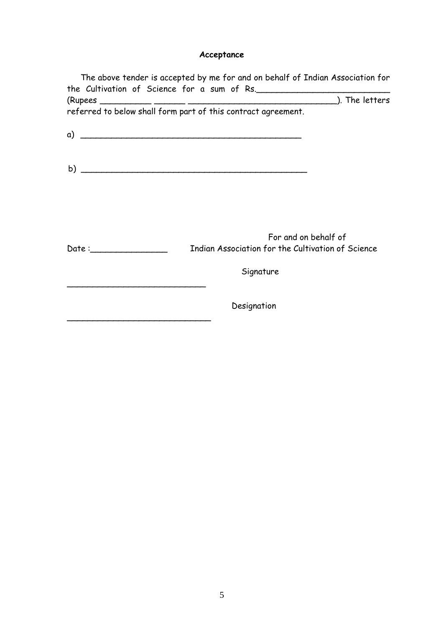# **Acceptance**

|                                                                                                                                                                                                                                | referred to below shall form part of this contract agreement.             |
|--------------------------------------------------------------------------------------------------------------------------------------------------------------------------------------------------------------------------------|---------------------------------------------------------------------------|
|                                                                                                                                                                                                                                |                                                                           |
|                                                                                                                                                                                                                                |                                                                           |
|                                                                                                                                                                                                                                |                                                                           |
|                                                                                                                                                                                                                                |                                                                           |
| Date: the contract of the contract of the contract of the contract of the contract of the contract of the contract of the contract of the contract of the contract of the contract of the contract of the contract of the cont | For and on behalf of<br>Indian Association for the Cultivation of Science |
|                                                                                                                                                                                                                                | Signature                                                                 |
|                                                                                                                                                                                                                                | Designation                                                               |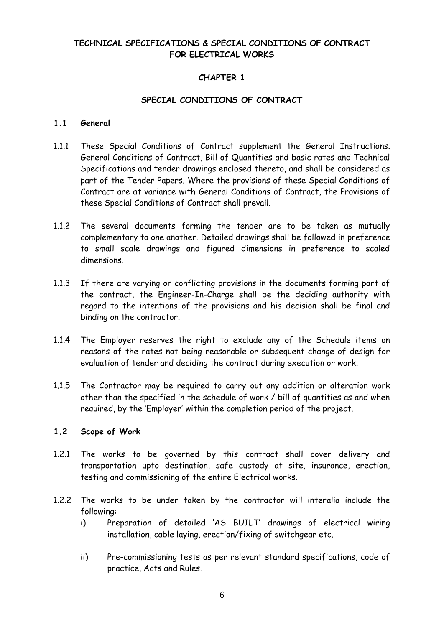# **TECHNICAL SPECIFICATIONS & SPECIAL CONDITIONS OF CONTRACT FOR ELECTRICAL WORKS**

# **CHAPTER 1**

#### **SPECIAL CONDITIONS OF CONTRACT**

#### **1.1 General**

- 1.1.1 These Special Conditions of Contract supplement the General Instructions. General Conditions of Contract, Bill of Quantities and basic rates and Technical Specifications and tender drawings enclosed thereto, and shall be considered as part of the Tender Papers. Where the provisions of these Special Conditions of Contract are at variance with General Conditions of Contract, the Provisions of these Special Conditions of Contract shall prevail.
- 1.1.2 The several documents forming the tender are to be taken as mutually complementary to one another. Detailed drawings shall be followed in preference to small scale drawings and figured dimensions in preference to scaled dimensions.
- 1.1.3 If there are varying or conflicting provisions in the documents forming part of the contract, the Engineer-In-Charge shall be the deciding authority with regard to the intentions of the provisions and his decision shall be final and binding on the contractor.
- 1.1.4 The Employer reserves the right to exclude any of the Schedule items on reasons of the rates not being reasonable or subsequent change of design for evaluation of tender and deciding the contract during execution or work.
- 1.1.5 The Contractor may be required to carry out any addition or alteration work other than the specified in the schedule of work / bill of quantities as and when required, by the "Employer" within the completion period of the project.

#### **1.2 Scope of Work**

- 1.2.1 The works to be governed by this contract shall cover delivery and transportation upto destination, safe custody at site, insurance, erection, testing and commissioning of the entire Electrical works.
- 1.2.2 The works to be under taken by the contractor will interalia include the following:
	- i) Preparation of detailed "AS BUILT" drawings of electrical wiring installation, cable laying, erection/fixing of switchgear etc.
	- ii) Pre-commissioning tests as per relevant standard specifications, code of practice, Acts and Rules.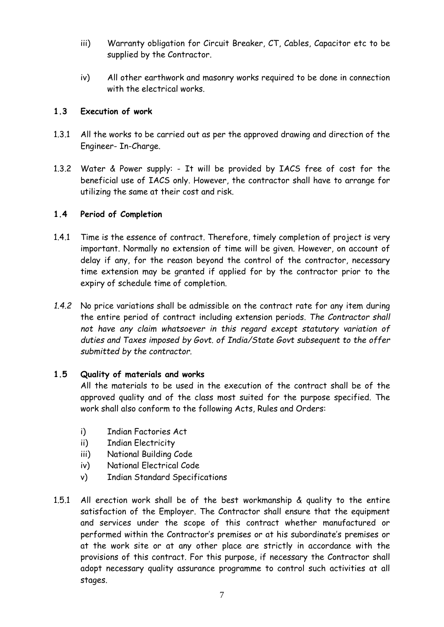- iii) Warranty obligation for Circuit Breaker, CT, Cables, Capacitor etc to be supplied by the Contractor.
- iv) All other earthwork and masonry works required to be done in connection with the electrical works.

## **1.3 Execution of work**

- 1.3.1 All the works to be carried out as per the approved drawing and direction of the Engineer- In-Charge.
- 1.3.2 Water & Power supply: It will be provided by IACS free of cost for the beneficial use of IACS only. However, the contractor shall have to arrange for utilizing the same at their cost and risk.

## **1.4 Period of Completion**

- 1.4.1 Time is the essence of contract. Therefore, timely completion of project is very important. Normally no extension of time will be given. However, on account of delay if any, for the reason beyond the control of the contractor, necessary time extension may be granted if applied for by the contractor prior to the expiry of schedule time of completion.
- *1.4.2* No price variations shall be admissible on the contract rate for any item during the entire period of contract including extension periods. *The Contractor shall not have any claim whatsoever in this regard except statutory variation of duties and Taxes imposed by Govt. of India/State Govt subsequent to the offer submitted by the contractor.*

# **1.5 Quality of materials and works**

All the materials to be used in the execution of the contract shall be of the approved quality and of the class most suited for the purpose specified. The work shall also conform to the following Acts, Rules and Orders:

- i) Indian Factories Act
- ii) Indian Electricity
- iii) National Building Code
- iv) National Electrical Code
- v) Indian Standard Specifications
- 1.5.1 All erection work shall be of the best workmanship & quality to the entire satisfaction of the Employer. The Contractor shall ensure that the equipment and services under the scope of this contract whether manufactured or performed within the Contractor's premises or at his subordinate's premises or at the work site or at any other place are strictly in accordance with the provisions of this contract. For this purpose, if necessary the Contractor shall adopt necessary quality assurance programme to control such activities at all stages.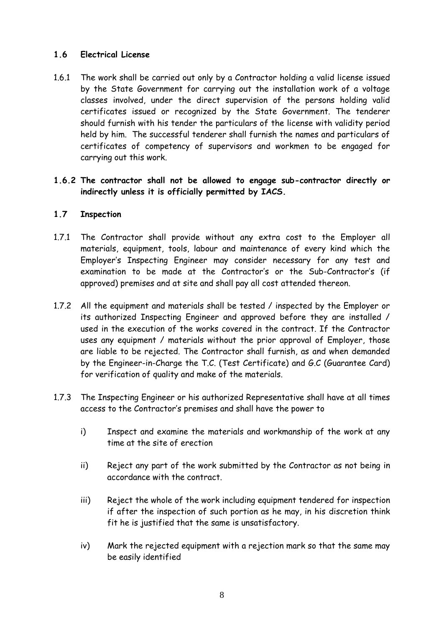## **1.6 Electrical License**

1.6.1 The work shall be carried out only by a Contractor holding a valid license issued by the State Government for carrying out the installation work of a voltage classes involved, under the direct supervision of the persons holding valid certificates issued or recognized by the State Government. The tenderer should furnish with his tender the particulars of the license with validity period held by him. The successful tenderer shall furnish the names and particulars of certificates of competency of supervisors and workmen to be engaged for carrying out this work.

#### **1.6.2 The contractor shall not be allowed to engage sub-contractor directly or indirectly unless it is officially permitted by IACS.**

## **1.7 Inspection**

- 1.7.1 The Contractor shall provide without any extra cost to the Employer all materials, equipment, tools, labour and maintenance of every kind which the Employer"s Inspecting Engineer may consider necessary for any test and examination to be made at the Contractor's or the Sub-Contractor's (if approved) premises and at site and shall pay all cost attended thereon.
- 1.7.2 All the equipment and materials shall be tested / inspected by the Employer or its authorized Inspecting Engineer and approved before they are installed / used in the execution of the works covered in the contract. If the Contractor uses any equipment / materials without the prior approval of Employer, those are liable to be rejected. The Contractor shall furnish, as and when demanded by the Engineer-in-Charge the T.C. (Test Certificate) and G.C (Guarantee Card) for verification of quality and make of the materials.
- 1.7.3 The Inspecting Engineer or his authorized Representative shall have at all times access to the Contractor"s premises and shall have the power to
	- i) Inspect and examine the materials and workmanship of the work at any time at the site of erection
	- ii) Reject any part of the work submitted by the Contractor as not being in accordance with the contract.
	- iii) Reject the whole of the work including equipment tendered for inspection if after the inspection of such portion as he may, in his discretion think fit he is justified that the same is unsatisfactory.
	- iv) Mark the rejected equipment with a rejection mark so that the same may be easily identified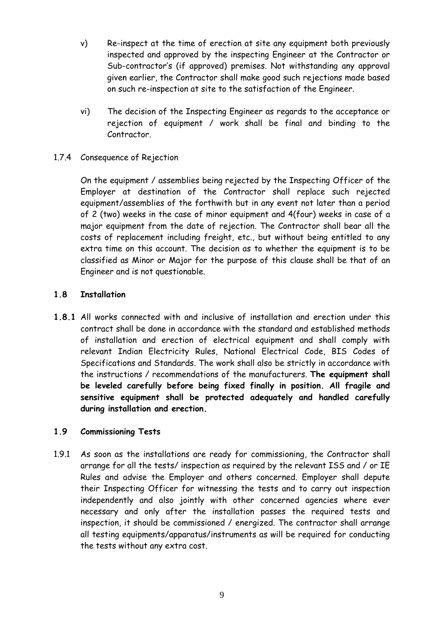- v) Re-inspect at the time of erection at site any equipment both previously inspected and approved by the inspecting Engineer at the Contractor or Sub-contractor's (if approved) premises. Not withstanding any approval given earlier, the Contractor shall make good such rejections made based on such re-inspection at site to the satisfaction of the Engineer.
- vi) The decision of the Inspecting Engineer as regards to the acceptance or rejection of equipment / work shall be final and binding to the Contractor.
- 1.7.4 Consequence of Rejection

On the equipment / assemblies being rejected by the Inspecting Officer of the Employer at destination of the Contractor shall replace such rejected equipment/assemblies of the forthwith but in any event not later than a period of 2 (two) weeks in the case of minor equipment and 4(four) weeks in case of a major equipment from the date of rejection. The Contractor shall bear all the costs of replacement including freight, etc., but without being entitled to any extra time on this account. The decision as to whether the equipment is to be classified as Minor or Major for the purpose of this clause shall be that of an Engineer and is not questionable.

## **1.8 Installation**

**1.8.1** All works connected with and inclusive of installation and erection under this contract shall be done in accordance with the standard and established methods of installation and erection of electrical equipment and shall comply with relevant Indian Electricity Rules, National Electrical Code, BIS Codes of Specifications and Standards. The work shall also be strictly in accordance with the instructions / recommendations of the manufacturers. **The equipment shall be leveled carefully before being fixed finally in position. All fragile and sensitive equipment shall be protected adequately and handled carefully during installation and erection.**

#### **1.9 Commissioning Tests**

1.9.1 As soon as the installations are ready for commissioning, the Contractor shall arrange for all the tests/ inspection as required by the relevant ISS and / or IE Rules and advise the Employer and others concerned. Employer shall depute their Inspecting Officer for witnessing the tests and to carry out inspection independently and also jointly with other concerned agencies where ever necessary and only after the installation passes the required tests and inspection, it should be commissioned / energized. The contractor shall arrange all testing equipments/apparatus/instruments as will be required for conducting the tests without any extra cost.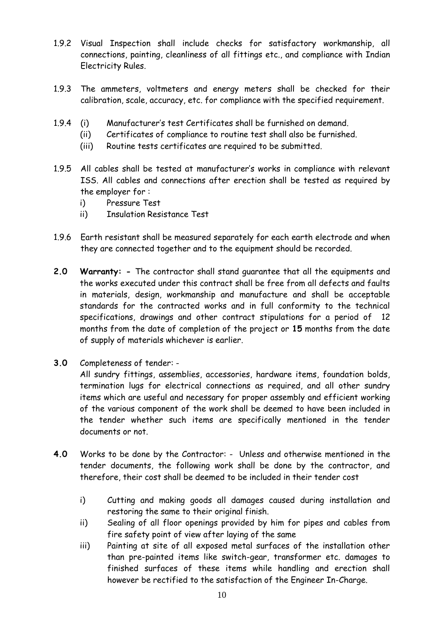- 1.9.2 Visual Inspection shall include checks for satisfactory workmanship, all connections, painting, cleanliness of all fittings etc., and compliance with Indian Electricity Rules.
- 1.9.3 The ammeters, voltmeters and energy meters shall be checked for their calibration, scale, accuracy, etc. for compliance with the specified requirement.
- 1.9.4 (i) Manufacturer"s test Certificates shall be furnished on demand.
	- (ii) Certificates of compliance to routine test shall also be furnished.
	- (iii) Routine tests certificates are required to be submitted.
- 1.9.5 All cables shall be tested at manufacturer"s works in compliance with relevant ISS. All cables and connections after erection shall be tested as required by the employer for :
	- i) Pressure Test
	- ii) Insulation Resistance Test
- 1.9.6 Earth resistant shall be measured separately for each earth electrode and when they are connected together and to the equipment should be recorded.
- **2.0 Warranty: -** The contractor shall stand guarantee that all the equipments and the works executed under this contract shall be free from all defects and faults in materials, design, workmanship and manufacture and shall be acceptable standards for the contracted works and in full conformity to the technical specifications, drawings and other contract stipulations for a period of 12 months from the date of completion of the project or **15** months from the date of supply of materials whichever is earlier.
- **3.0** Completeness of tender: -

All sundry fittings, assemblies, accessories, hardware items, foundation bolds, termination lugs for electrical connections as required, and all other sundry items which are useful and necessary for proper assembly and efficient working of the various component of the work shall be deemed to have been included in the tender whether such items are specifically mentioned in the tender documents or not.

- **4.0** Works to be done by the Contractor: Unless and otherwise mentioned in the tender documents, the following work shall be done by the contractor, and therefore, their cost shall be deemed to be included in their tender cost
	- i) Cutting and making goods all damages caused during installation and restoring the same to their original finish.
	- ii) Sealing of all floor openings provided by him for pipes and cables from fire safety point of view after laying of the same
	- iii) Painting at site of all exposed metal surfaces of the installation other than pre-painted items like switch-gear, transformer etc. damages to finished surfaces of these items while handling and erection shall however be rectified to the satisfaction of the Engineer In-Charge.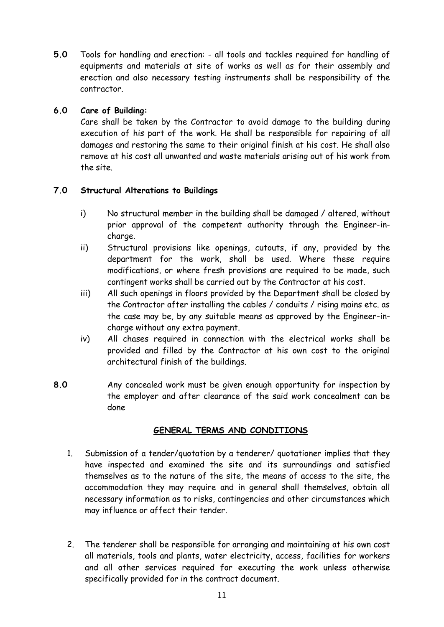**5.0** Tools for handling and erection: - all tools and tackles required for handling of equipments and materials at site of works as well as for their assembly and erection and also necessary testing instruments shall be responsibility of the contractor.

# **6.0 Care of Building:**

Care shall be taken by the Contractor to avoid damage to the building during execution of his part of the work. He shall be responsible for repairing of all damages and restoring the same to their original finish at his cost. He shall also remove at his cost all unwanted and waste materials arising out of his work from the site.

## **7.0 Structural Alterations to Buildings**

- i) No structural member in the building shall be damaged / altered, without prior approval of the competent authority through the Engineer-incharge.
- ii) Structural provisions like openings, cutouts, if any, provided by the department for the work, shall be used. Where these require modifications, or where fresh provisions are required to be made, such contingent works shall be carried out by the Contractor at his cost.
- iii) All such openings in floors provided by the Department shall be closed by the Contractor after installing the cables / conduits / rising mains etc. as the case may be, by any suitable means as approved by the Engineer-incharge without any extra payment.
- iv) All chases required in connection with the electrical works shall be provided and filled by the Contractor at his own cost to the original architectural finish of the buildings.
- **8.0** Any concealed work must be given enough opportunity for inspection by the employer and after clearance of the said work concealment can be done

#### **GENERAL TERMS AND CONDITIONS**

- 1. Submission of a tender/quotation by a tenderer/ quotationer implies that they have inspected and examined the site and its surroundings and satisfied themselves as to the nature of the site, the means of access to the site, the accommodation they may require and in general shall themselves, obtain all necessary information as to risks, contingencies and other circumstances which may influence or affect their tender.
- 2. The tenderer shall be responsible for arranging and maintaining at his own cost all materials, tools and plants, water electricity, access, facilities for workers and all other services required for executing the work unless otherwise specifically provided for in the contract document.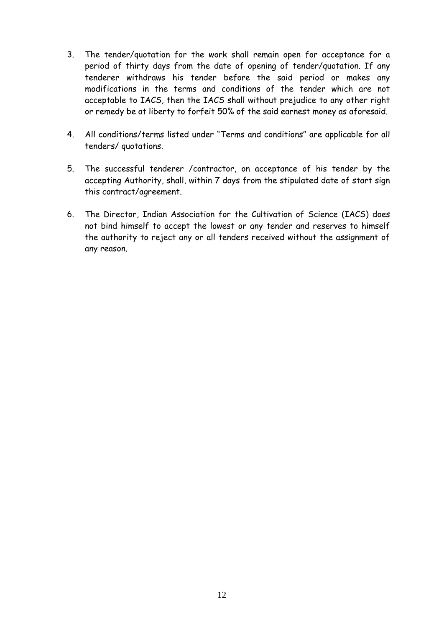- 3. The tender/quotation for the work shall remain open for acceptance for a period of thirty days from the date of opening of tender/quotation. If any tenderer withdraws his tender before the said period or makes any modifications in the terms and conditions of the tender which are not acceptable to IACS, then the IACS shall without prejudice to any other right or remedy be at liberty to forfeit 50% of the said earnest money as aforesaid.
- 4. All conditions/terms listed under "Terms and conditions" are applicable for all tenders/ quotations.
- 5. The successful tenderer /contractor, on acceptance of his tender by the accepting Authority, shall, within 7 days from the stipulated date of start sign this contract/agreement.
- 6. The Director, Indian Association for the Cultivation of Science (IACS) does not bind himself to accept the lowest or any tender and reserves to himself the authority to reject any or all tenders received without the assignment of any reason.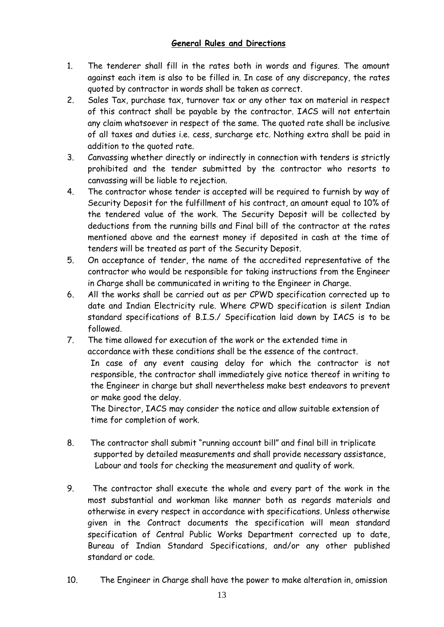# **General Rules and Directions**

- 1. The tenderer shall fill in the rates both in words and figures. The amount against each item is also to be filled in. In case of any discrepancy, the rates quoted by contractor in words shall be taken as correct.
- 2. Sales Tax, purchase tax, turnover tax or any other tax on material in respect of this contract shall be payable by the contractor. IACS will not entertain any claim whatsoever in respect of the same. The quoted rate shall be inclusive of all taxes and duties i.e. cess, surcharge etc. Nothing extra shall be paid in addition to the quoted rate.
- 3. Canvassing whether directly or indirectly in connection with tenders is strictly prohibited and the tender submitted by the contractor who resorts to canvassing will be liable to rejection.
- 4. The contractor whose tender is accepted will be required to furnish by way of Security Deposit for the fulfillment of his contract, an amount equal to 10% of the tendered value of the work. The Security Deposit will be collected by deductions from the running bills and Final bill of the contractor at the rates mentioned above and the earnest money if deposited in cash at the time of tenders will be treated as part of the Security Deposit.
- 5. On acceptance of tender, the name of the accredited representative of the contractor who would be responsible for taking instructions from the Engineer in Charge shall be communicated in writing to the Engineer in Charge.
- 6. All the works shall be carried out as per CPWD specification corrected up to date and Indian Electricity rule. Where CPWD specification is silent Indian standard specifications of B.I.S./ Specification laid down by IACS is to be followed.
- 7. The time allowed for execution of the work or the extended time in accordance with these conditions shall be the essence of the contract. In case of any event causing delay for which the contractor is not responsible, the contractor shall immediately give notice thereof in writing to the Engineer in charge but shall nevertheless make best endeavors to prevent or make good the delay.

The Director, IACS may consider the notice and allow suitable extension of time for completion of work.

- 8. The contractor shall submit "running account bill" and final bill in triplicate supported by detailed measurements and shall provide necessary assistance, Labour and tools for checking the measurement and quality of work.
- 9. The contractor shall execute the whole and every part of the work in the most substantial and workman like manner both as regards materials and otherwise in every respect in accordance with specifications. Unless otherwise given in the Contract documents the specification will mean standard specification of Central Public Works Department corrected up to date, Bureau of Indian Standard Specifications, and/or any other published standard or code.
- 10. The Engineer in Charge shall have the power to make alteration in, omission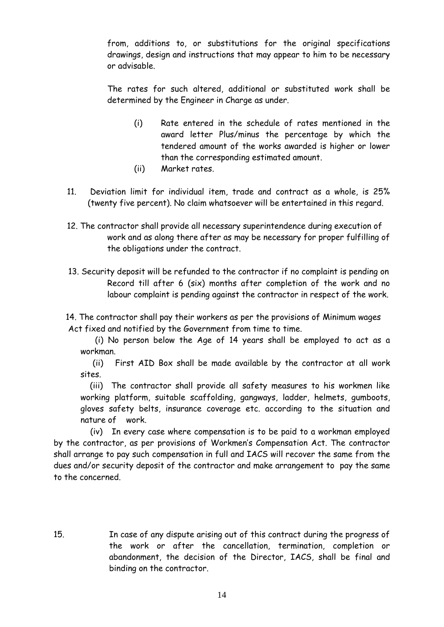from, additions to, or substitutions for the original specifications drawings, design and instructions that may appear to him to be necessary or advisable.

The rates for such altered, additional or substituted work shall be determined by the Engineer in Charge as under.

- (i) Rate entered in the schedule of rates mentioned in the award letter Plus/minus the percentage by which the tendered amount of the works awarded is higher or lower than the corresponding estimated amount.
- (ii) Market rates.
- 11. Deviation limit for individual item, trade and contract as a whole, is 25% (twenty five percent). No claim whatsoever will be entertained in this regard.
- 12. The contractor shall provide all necessary superintendence during execution of work and as along there after as may be necessary for proper fulfilling of the obligations under the contract.
- 13. Security deposit will be refunded to the contractor if no complaint is pending on Record till after 6 (six) months after completion of the work and no labour complaint is pending against the contractor in respect of the work.

 14. The contractor shall pay their workers as per the provisions of Minimum wages Act fixed and notified by the Government from time to time.

 (i) No person below the Age of 14 years shall be employed to act as a workman.

 (ii) First AID Box shall be made available by the contractor at all work sites.

(iii) The contractor shall provide all safety measures to his workmen like working platform, suitable scaffolding, gangways, ladder, helmets, gumboots, gloves safety belts, insurance coverage etc. according to the situation and nature of work.

 (iv) In every case where compensation is to be paid to a workman employed by the contractor, as per provisions of Workmen"s Compensation Act. The contractor shall arrange to pay such compensation in full and IACS will recover the same from the dues and/or security deposit of the contractor and make arrangement to pay the same to the concerned.

15. In case of any dispute arising out of this contract during the progress of the work or after the cancellation, termination, completion or abandonment, the decision of the Director, IACS, shall be final and binding on the contractor.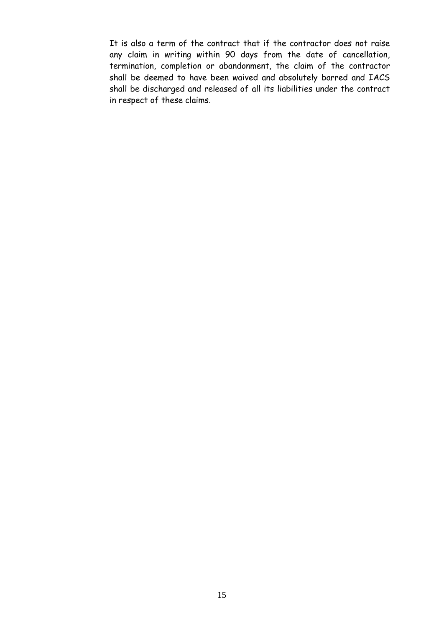It is also a term of the contract that if the contractor does not raise any claim in writing within 90 days from the date of cancellation, termination, completion or abandonment, the claim of the contractor shall be deemed to have been waived and absolutely barred and IACS shall be discharged and released of all its liabilities under the contract in respect of these claims.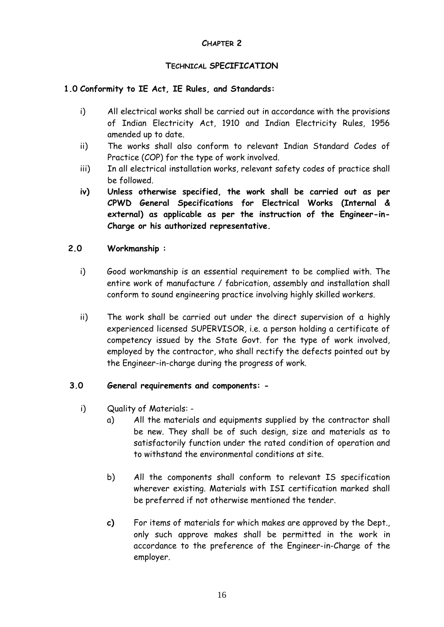#### **CHAPTER 2**

#### **TECHNICAL SPECIFICATION**

#### **1.0 Conformity to IE Act, IE Rules, and Standards:**

- i) All electrical works shall be carried out in accordance with the provisions of Indian Electricity Act, 1910 and Indian Electricity Rules, 1956 amended up to date.
- ii) The works shall also conform to relevant Indian Standard Codes of Practice (COP) for the type of work involved.
- iii) In all electrical installation works, relevant safety codes of practice shall be followed.
- **iv) Unless otherwise specified, the work shall be carried out as per CPWD General Specifications for Electrical Works (Internal & external) as applicable as per the instruction of the Engineer-in-Charge or his authorized representative.**

#### **2.0 Workmanship :**

- i) Good workmanship is an essential requirement to be complied with. The entire work of manufacture / fabrication, assembly and installation shall conform to sound engineering practice involving highly skilled workers.
- ii) The work shall be carried out under the direct supervision of a highly experienced licensed SUPERVISOR, i.e. a person holding a certificate of competency issued by the State Govt. for the type of work involved, employed by the contractor, who shall rectify the defects pointed out by the Engineer-in-charge during the progress of work.

#### **3.0 General requirements and components: -**

- i) Quality of Materials:
	- a) All the materials and equipments supplied by the contractor shall be new. They shall be of such design, size and materials as to satisfactorily function under the rated condition of operation and to withstand the environmental conditions at site.
	- b) All the components shall conform to relevant IS specification wherever existing. Materials with ISI certification marked shall be preferred if not otherwise mentioned the tender.
	- **c)** For items of materials for which makes are approved by the Dept., only such approve makes shall be permitted in the work in accordance to the preference of the Engineer-in-Charge of the employer.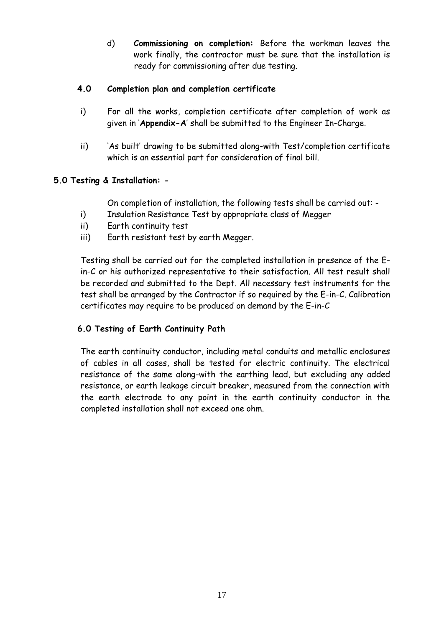d) **Commissioning on completion:** Before the workman leaves the work finally, the contractor must be sure that the installation is ready for commissioning after due testing.

# **4.0 Completion plan and completion certificate**

- i) For all the works, completion certificate after completion of work as given in "**Appendix-A**" shall be submitted to the Engineer In-Charge.
- ii) "As built" drawing to be submitted along-with Test/completion certificate which is an essential part for consideration of final bill.

# **5.0 Testing & Installation: -**

On completion of installation, the following tests shall be carried out: -

- i) Insulation Resistance Test by appropriate class of Megger
- ii) Earth continuity test
- iii) Earth resistant test by earth Megger.

Testing shall be carried out for the completed installation in presence of the Ein-C or his authorized representative to their satisfaction. All test result shall be recorded and submitted to the Dept. All necessary test instruments for the test shall be arranged by the Contractor if so required by the E-in-C. Calibration certificates may require to be produced on demand by the E-in-C

# **6.0 Testing of Earth Continuity Path**

The earth continuity conductor, including metal conduits and metallic enclosures of cables in all cases, shall be tested for electric continuity. The electrical resistance of the same along-with the earthing lead, but excluding any added resistance, or earth leakage circuit breaker, measured from the connection with the earth electrode to any point in the earth continuity conductor in the completed installation shall not exceed one ohm.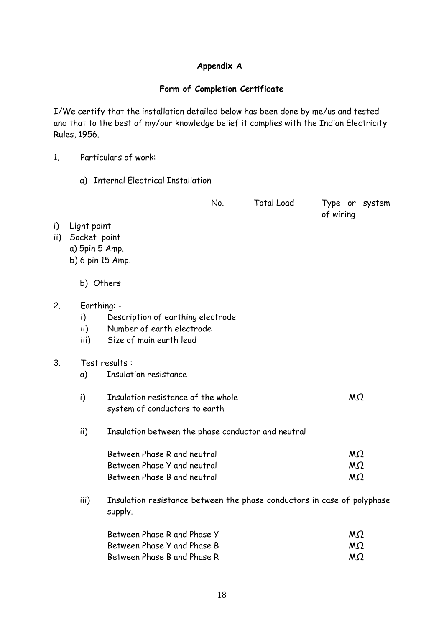# **Appendix A**

# **Form of Completion Certificate**

I/We certify that the installation detailed below has been done by me/us and tested and that to the best of my/our knowledge belief it complies with the Indian Electricity Rules, 1956.

- 1. Particulars of work:
	- a) Internal Electrical Installation

|             |                                                                   |                                                                                           | No. | <b>Total Load</b> | Type or system<br>of wiring |
|-------------|-------------------------------------------------------------------|-------------------------------------------------------------------------------------------|-----|-------------------|-----------------------------|
| i)<br>ii) - | Light point<br>Socket point<br>a) 5pin 5 Amp.<br>b) 6 pin 15 Amp. |                                                                                           |     |                   |                             |
|             | b) Others                                                         |                                                                                           |     |                   |                             |
| 2.          | Earthing: -<br>i)<br>ii)<br>iii)                                  | Description of earthing electrode<br>Number of earth electrode<br>Size of main earth lead |     |                   |                             |
| 3.          |                                                                   | Test results:                                                                             |     |                   |                             |
|             | a)                                                                | <b>Insulation resistance</b>                                                              |     |                   |                             |
|             | i)                                                                | Insulation resistance of the whole<br>system of conductors to earth                       |     |                   | M <sub>2</sub>              |
|             | ii)                                                               | Insulation between the phase conductor and neutral                                        |     |                   |                             |
|             |                                                                   | Between Phase R and neutral                                                               |     |                   | MΩ                          |
|             |                                                                   | Between Phase Y and neutral                                                               |     |                   | M <sub>2</sub>              |
|             |                                                                   | Between Phase B and neutral                                                               |     |                   | MΩ                          |
|             | iii)                                                              | Insulation resistance between the phase conductors in case of polyphase<br>supply.        |     |                   |                             |
|             |                                                                   | Between Phase R and Phase Y                                                               |     |                   | MΩ                          |

| Between Phase R and Phase Y | MΩ.       |  |
|-----------------------------|-----------|--|
| Between Phase Y and Phase B | $M\Omega$ |  |
| Between Phase B and Phase R | $M\Omega$ |  |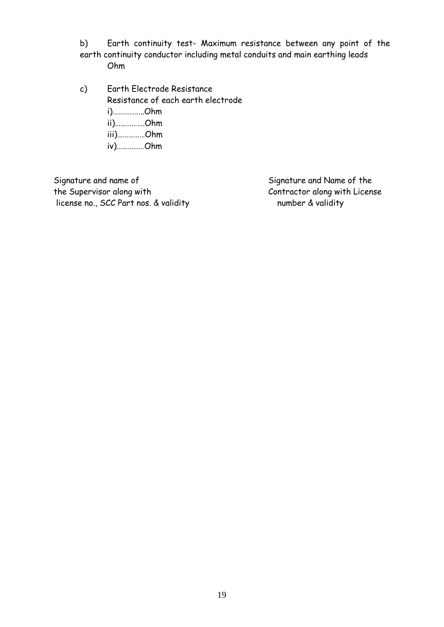b) Earth continuity test- Maximum resistance between any point of the earth continuity conductor including metal conduits and main earthing leads Ohm

c) Earth Electrode Resistance Resistance of each earth electrode i)……………..Ohm ii)…………….Ohm iii)……………Ohm iv)……………Ohm

Signature and name of Signature and Name of the the Supervisor along with Contractor along with License license no., SCC Part nos. & validity humber & validity